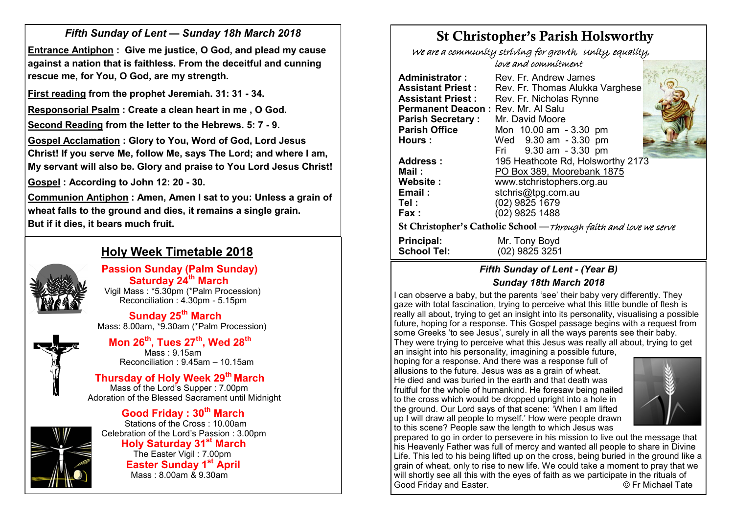# *Fifth Sunday of Lent — Sunday 18h March 2018*

**Entrance Antiphon : Give me justice, O God, and plead my cause against a nation that is faithless. From the deceitful and cunning rescue me, for You, O God, are my strength.**

**First reading from the prophet Jeremiah. 31: 31 - 34.**

**Responsorial Psalm : Create a clean heart in me , O God.**

**Second Reading from the letter to the Hebrews. 5: 7 - 9.**

**Gospel Acclamation : Glory to You, Word of God, Lord Jesus Christ! If you serve Me, follow Me, says The Lord; and where I am, My servant will also be. Glory and praise to You Lord Jesus Christ!** 

**Gospel : According to John 12: 20 - 30.**

**Communion Antiphon : Amen, Amen I sat to you: Unless a grain of wheat falls to the ground and dies, it remains a single grain. But if it dies, it bears much fruit.**



# **Holy Week Timetable 2018**

 **Passion Sunday (Palm Sunday) Saturday 24th March** Vigil Mass : \*5.30pm (\*Palm Procession) Reconciliation : 4.30pm - 5.15pm

 **Sunday 25th March** Mass: 8.00am, \*9.30am (\*Palm Procession)



 **Mon 26th, Tues 27th, Wed 28th** Mass : 9.15am Reconciliation : 9.45am – 10.15am

 **Thursday of Holy Week 29th March**  Mass of the Lord's Supper : 7.00pm Adoration of the Blessed Sacrament until Midnight



 **Good Friday : 30th March** Stations of the Cross : 10.00am Celebration of the Lord's Passion : 3.00pm **Holy Saturday 31st March** The Easter Vigil : 7.00pm **Easter Sunday 1st April** Mass : 8.00am & 9.30am

# St Christopher's Parish Holsworthy

We are a community striving for growth, Unity, equality,

love and commitment

| Administrator :                    | Rev. Fr. Andrew James                                              |
|------------------------------------|--------------------------------------------------------------------|
| <b>Assistant Priest:</b>           | Rev. Fr. Thomas Alukka Varghese                                    |
| <b>Assistant Priest :</b>          | Rev. Fr. Nicholas Rynne                                            |
| Permanent Deacon: Rev. Mr. Al Salu |                                                                    |
| <b>Parish Secretary:</b>           | Mr. David Moore                                                    |
|                                    |                                                                    |
| <b>Parish Office</b>               | Mon 10.00 am - 3.30 pm                                             |
| <b>Hours:</b>                      | Wed 9.30 am - 3.30 pm                                              |
|                                    | Fri 9.30 am - 3.30 pm                                              |
| <b>Address:</b>                    | 195 Heathcote Rd, Holsworthy 2173                                  |
| Mail :                             | PO Box 389, Moorebank 1875                                         |
| <b>Website :</b>                   | www.stchristophers.org.au                                          |
| Email:                             | stchris@tpg.com.au                                                 |
| Tel :                              | (02) 9825 1679                                                     |
| Fax :                              | (02) 9825 1488                                                     |
|                                    | St Christopher's Catholic School — Through faith and love we serve |
| Principal:                         | Mr. Tony Boyd                                                      |
| <b>School Tel:</b>                 | (02) 9825 3251                                                     |

# *Fifth Sunday of Lent - (Year B) Sunday 18th March 2018*

I can observe a baby, but the parents 'see' their baby very differently. They gaze with total fascination, trying to perceive what this little bundle of flesh is really all about, trying to get an insight into its personality, visualising a possible future, hoping for a response. This Gospel passage begins with a request from some Greeks 'to see Jesus', surely in all the ways parents see their baby. They were trying to perceive what this Jesus was really all about, trying to get an insight into his personality, imagining a possible future,

hoping for a response. And there was a response full of allusions to the future. Jesus was as a grain of wheat. He died and was buried in the earth and that death was fruitful for the whole of humankind. He foresaw being nailed to the cross which would be dropped upright into a hole in the ground. Our Lord says of that scene: 'When I am lifted up I will draw all people to myself.' How were people drawn to this scene? People saw the length to which Jesus was



prepared to go in order to persevere in his mission to live out the message that his Heavenly Father was full of mercy and wanted all people to share in Divine Life. This led to his being lifted up on the cross, being buried in the ground like a grain of wheat, only to rise to new life. We could take a moment to pray that we will shortly see all this with the eyes of faith as we participate in the rituals of Good Friday and Easter. Good Friday and Easter.